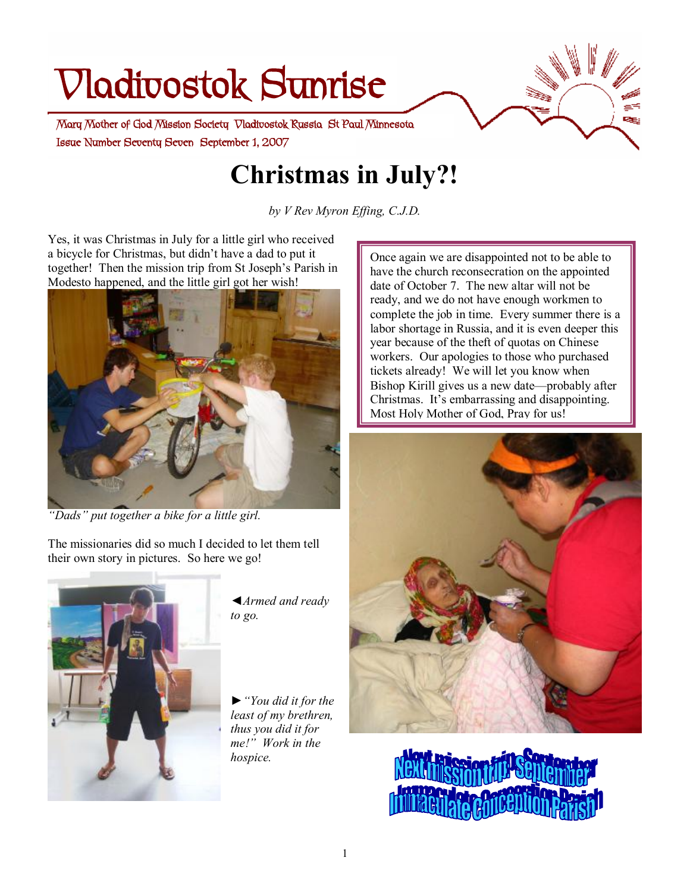# **Vladivostok Sunrise**

 **Issue Number Seventy Seven September 1, 2007 Mary Mother of God Mission Society Vladivostok Russia St Paul Minnesota** 

# **Christmas in July?!**

*by V Rev Myron Effing, C.J.D.*

Yes, it was Christmas in July for a little girl who received a bicycle for Christmas, but didn't have a dad to put it together! Then the mission trip from St Joseph's Parish in Modesto happened, and the little girl got her wish!



*"Dads" put together a bike for a little girl.* 

The missionaries did so much I decided to let them tell their own story in pictures. So here we go!



*◄Armed and ready to go.* 

*►"You did it for the least of my brethren, thus you did it for me!" Work in the hospice.* 

Once again we are disappointed not to be able to have the church reconsecration on the appointed date of October 7. The new altar will not be ready, and we do not have enough workmen to complete the job in time. Every summer there is a labor shortage in Russia, and it is even deeper this year because of the theft of quotas on Chinese workers. Our apologies to those who purchased tickets already! We will let you know when Bishop Kirill gives us a new date—probably after Christmas. It's embarrassing and disappointing. Most Holy Mother of God, Pray for us!

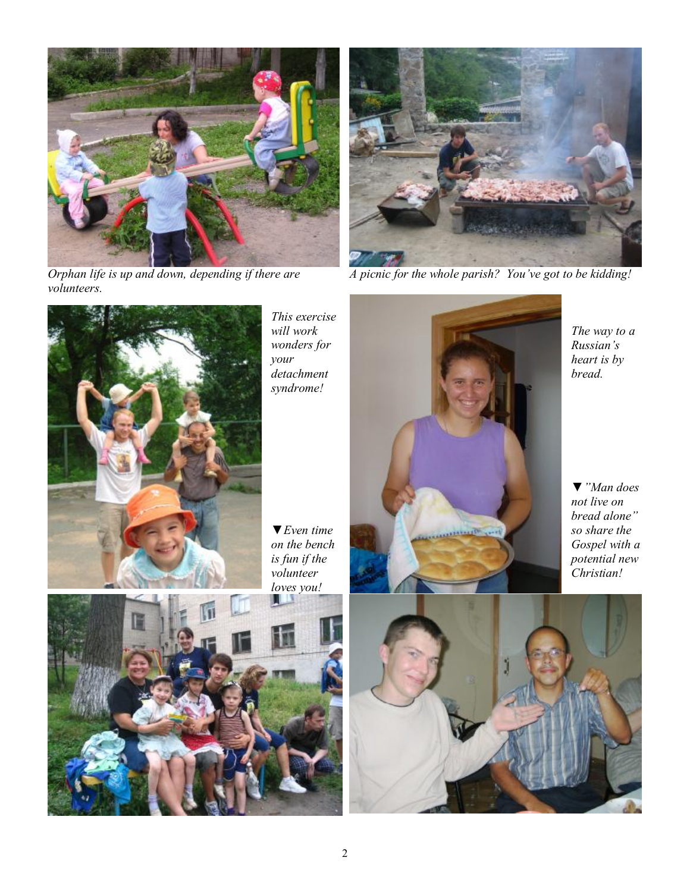

*Orphan life is up and down, depending if there are volunteers.* 



*A picnic for the whole parish? You've got to be kidding!* 



*This exercise will work wonders for your detachment syndrome!* 

*▼Even time on the bench is fun if the volunteer loves you!* 





*The way to a Russian's heart is by* 

*▼"Man does not live on bread alone" so share the Gospel with a potential new Christian!*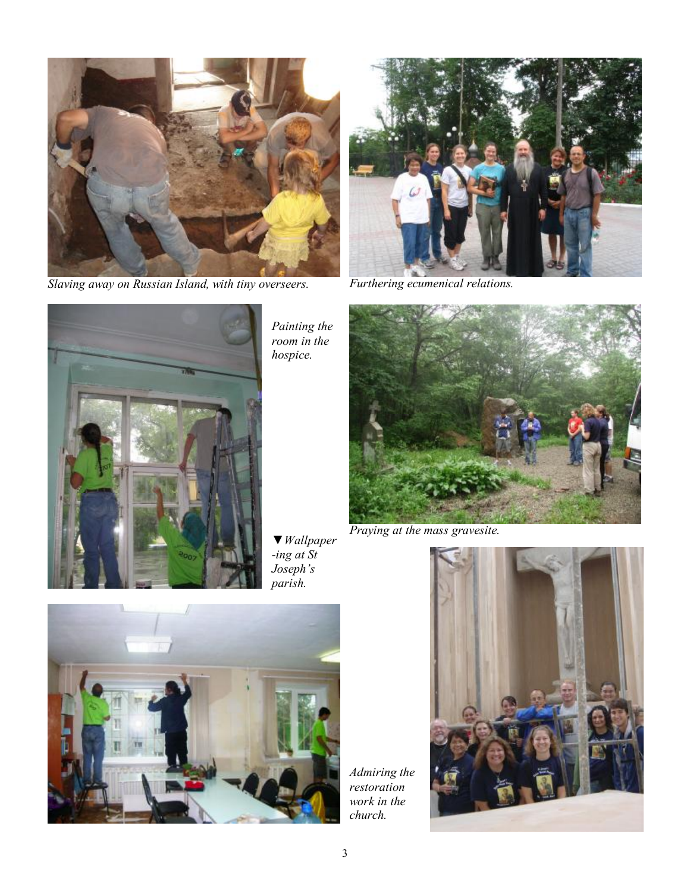

*Slaving away on Russian Island, with tiny overseers.* 



*Furthering ecumenical relations.* 



*Painting the room in the hospice.* 

*▼Wallpaper -ing at St Joseph's* 



*Praying at the mass gravesite.* 



*Admiring the restoration work in the church.* 

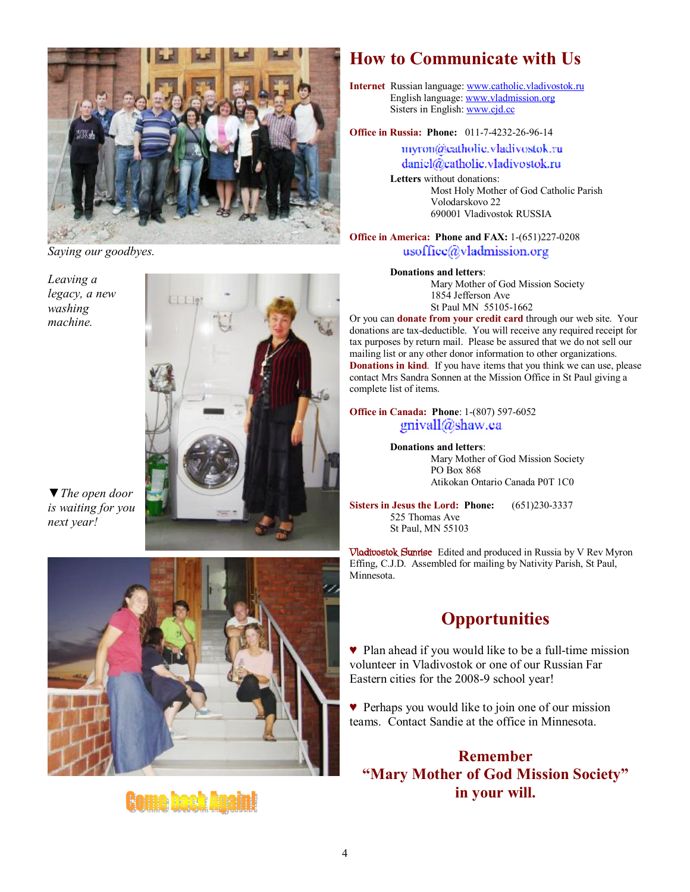

*Saying our goodbyes.* 

*Leaving a legacy, a new washing machine.* 



*▼The open door is waiting for you next year!* 



# **Come back Again!**

## **How to Communicate with Us**

**Internet** Russian language: [www.catholic.vladivostok.ru](http://www.catholic.vladivostok.ru) English language: [www.vladmission.org](http://www.vladmission.org) Sisters in English: [www.cjd.cc](http://www.cjd.cc)

**Office in Russia: Phone:** 011-7-4232-26-96-14

myron@catholic.vladivostok.ru daniel@catholic.vladivostok.ru

**Letters** without donations: Most Holy Mother of God Catholic Parish Volodarskovo 22 690001 Vladivostok RUSSIA

#### **Office in America: Phone and FAX:** 1-(651)227-0208 usoffice@vladmission.org

**Donations and letters**:

Mary Mother of God Mission Society 1854 Jefferson Ave St Paul MN 55105-1662

Or you can **donate from your credit card** through our web site. Your donations are tax-deductible. You will receive any required receipt for tax purposes by return mail. Please be assured that we do not sell our mailing list or any other donor information to other organizations. **Donations in kind**. If you have items that you think we can use, please contact Mrs Sandra Sonnen at the Mission Office in St Paul giving a complete list of items.

**Office in Canada: Phone**: 1-(807) 597-6052 gnivall@shaw.ca

> **Donations and letters**: Mary Mother of God Mission Society PO Box 868 Atikokan Ontario Canada P0T 1C0

**Sisters in Jesus the Lord: Phone:** (651)230-3337 525 Thomas Ave St Paul, MN 55103

**Vladivostok Sunrise** Edited and produced in Russia by V Rev Myron Effing, C.J.D. Assembled for mailing by Nativity Parish, St Paul, Minnesota.

# **Opportunities**

♥ Plan ahead if you would like to be a full-time mission volunteer in Vladivostok or one of our Russian Far Eastern cities for the 2008-9 school year!

♥ Perhaps you would like to join one of our mission teams. Contact Sandie at the office in Minnesota.

**Remember "Mary Mother of God Mission Society" in your will.**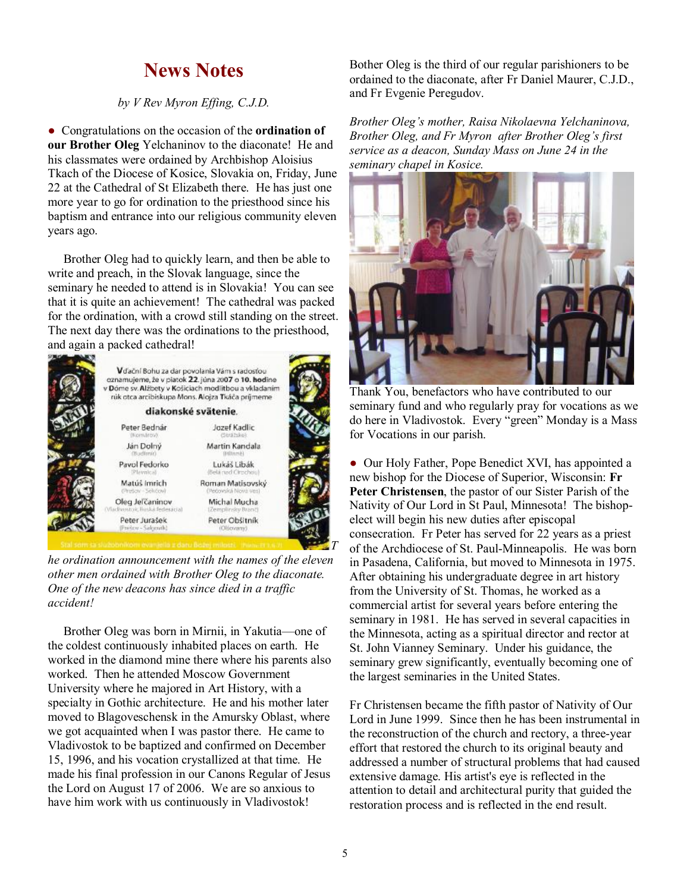### **News Notes**

*by V Rev Myron Effing, C.J.D.*

● Congratulations on the occasion of the **ordination of our Brother Oleg** Yelchaninov to the diaconate! He and his classmates were ordained by Archbishop Aloisius Tkach of the Diocese of Kosice, Slovakia on, Friday, June 22 at the Cathedral of St Elizabeth there. He has just one more year to go for ordination to the priesthood since his baptism and entrance into our religious community eleven years ago.

Brother Oleg had to quickly learn, and then be able to write and preach, in the Slovak language, since the seminary he needed to attend is in Slovakia! You can see that it is quite an achievement! The cathedral was packed for the ordination, with a crowd still standing on the street. The next day there was the ordinations to the priesthood, and again a packed cathedral!



*he ordination announcement with the names of the eleven other men ordained with Brother Oleg to the diaconate. One of the new deacons has since died in a traffic accident!* 

Brother Oleg was born in Mirnii, in Yakutia—one of the coldest continuously inhabited places on earth. He worked in the diamond mine there where his parents also worked. Then he attended Moscow Government University where he majored in Art History, with a specialty in Gothic architecture. He and his mother later moved to Blagoveschensk in the Amursky Oblast, where we got acquainted when I was pastor there. He came to Vladivostok to be baptized and confirmed on December 15, 1996, and his vocation crystallized at that time. He made his final profession in our Canons Regular of Jesus the Lord on August 17 of 2006. We are so anxious to have him work with us continuously in Vladivostok!

Bother Oleg is the third of our regular parishioners to be ordained to the diaconate, after Fr Daniel Maurer, C.J.D., and Fr Evgenie Peregudov.

*Brother Oleg's mother, Raisa Nikolaevna Yelchaninova, Brother Oleg, and Fr Myron after Brother Oleg's first service as a deacon, Sunday Mass on June 24 in the seminary chapel in Kosice.* 



Thank You, benefactors who have contributed to our seminary fund and who regularly pray for vocations as we do here in Vladivostok. Every "green" Monday is a Mass for Vocations in our parish.

• Our Holy Father, Pope Benedict XVI, has appointed a new bishop for the Diocese of Superior, Wisconsin: **Fr Peter Christensen**, the pastor of our Sister Parish of the Nativity of Our Lord in St Paul, Minnesota! The bishopelect will begin his new duties after episcopal consecration. Fr Peter has served for 22 years as a priest of the Archdiocese of St. Paul-Minneapolis. He was born in Pasadena, California, but moved to Minnesota in 1975. After obtaining his undergraduate degree in art history from the University of St. Thomas, he worked as a commercial artist for several years before entering the seminary in 1981. He has served in several capacities in the Minnesota, acting as a spiritual director and rector at St. John Vianney Seminary. Under his guidance, the seminary grew significantly, eventually becoming one of the largest seminaries in the United States.

Fr Christensen became the fifth pastor of Nativity of Our Lord in June 1999. Since then he has been instrumental in the reconstruction of the church and rectory, a three-year effort that restored the church to its original beauty and addressed a number of structural problems that had caused extensive damage. His artist's eye is reflected in the attention to detail and architectural purity that guided the restoration process and is reflected in the end result.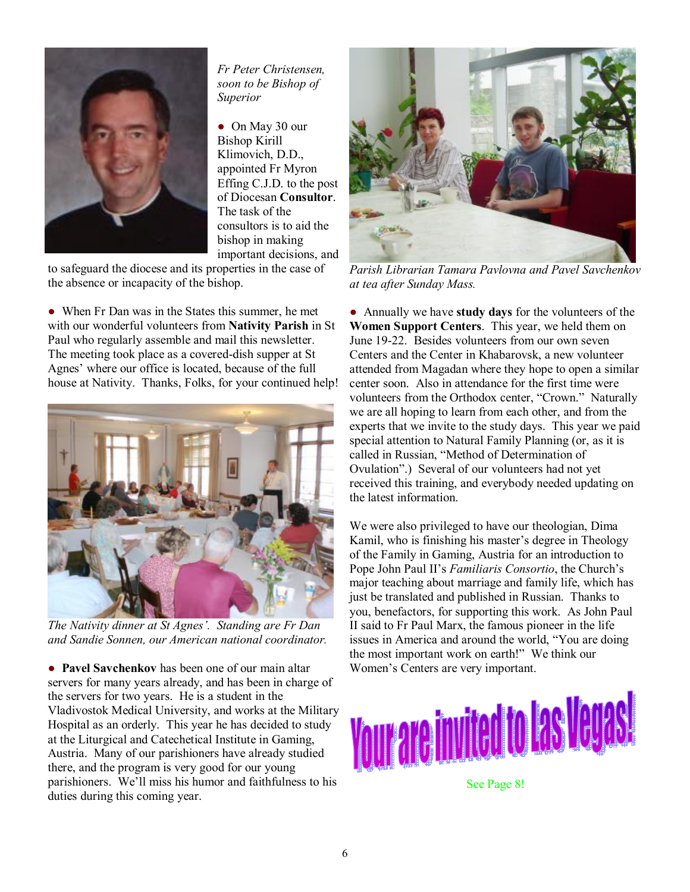

*Fr Peter Christensen, soon to be Bishop of Superior* 

● On May 30 our Bishop Kirill Klimovich, D.D., appointed Fr Myron Effing C.J.D. to the post of Diocesan **Consultor**. The task of the consultors is to aid the bishop in making important decisions, and

to safeguard the diocese and its properties in the case of the absence or incapacity of the bishop.

• When Fr Dan was in the States this summer, he met with our wonderful volunteers from **Nativity Parish** in St Paul who regularly assemble and mail this newsletter. The meeting took place as a covered-dish supper at St Agnes' where our office is located, because of the full house at Nativity. Thanks, Folks, for your continued help!



*The Nativity dinner at St Agnes'. Standing are Fr Dan and Sandie Sonnen, our American national coordinator.* 

● **Pavel Savchenkov** has been one of our main altar servers for many years already, and has been in charge of the servers for two years. He is a student in the Vladivostok Medical University, and works at the Military Hospital as an orderly. This year he has decided to study at the Liturgical and Catechetical Institute in Gaming, Austria. Many of our parishioners have already studied there, and the program is very good for our young parishioners. We'll miss his humor and faithfulness to his duties during this coming year.



*Parish Librarian Tamara Pavlovna and Pavel Savchenkov at tea after Sunday Mass.* 

● Annually we have **study days** for the volunteers of the **Women Support Centers**. This year, we held them on June 19-22. Besides volunteers from our own seven Centers and the Center in Khabarovsk, a new volunteer attended from Magadan where they hope to open a similar center soon. Also in attendance for the first time were volunteers from the Orthodox center, "Crown." Naturally we are all hoping to learn from each other, and from the experts that we invite to the study days. This year we paid special attention to Natural Family Planning (or, as it is called in Russian, "Method of Determination of Ovulation".) Several of our volunteers had not yet received this training, and everybody needed updating on the latest information.

We were also privileged to have our theologian, Dima Kamil, who is finishing his master's degree in Theology of the Family in Gaming, Austria for an introduction to Pope John Paul II's *Familiaris Consortio*, the Church's major teaching about marriage and family life, which has just be translated and published in Russian. Thanks to you, benefactors, for supporting this work. As John Paul II said to Fr Paul Marx, the famous pioneer in the life issues in America and around the world, "You are doing the most important work on earth!" We think our Women's Centers are very important.



See Page 8!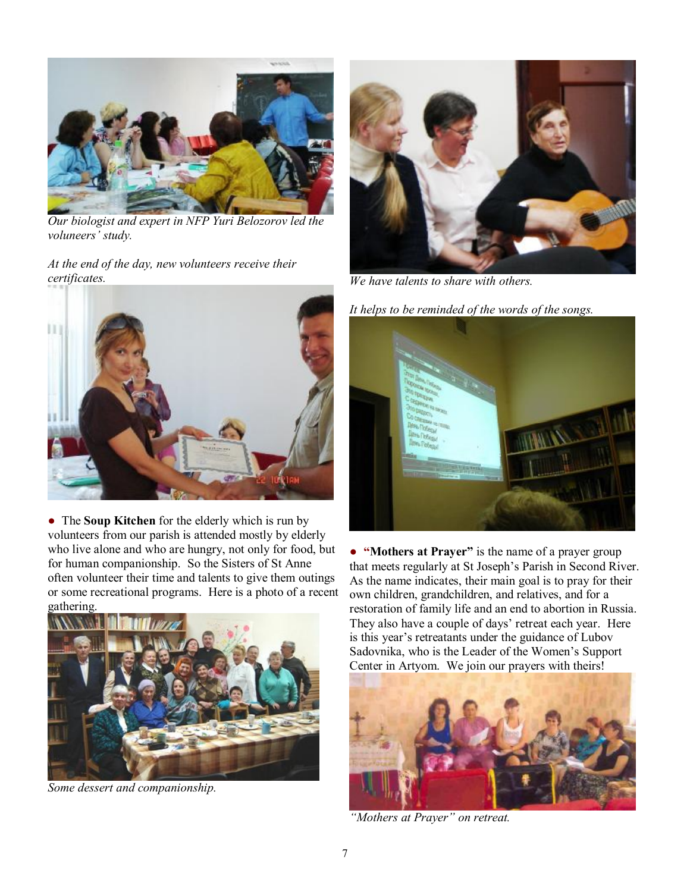

*Our biologist and expert in NFP Yuri Belozorov led the voluneers' study.* 

*At the end of the day, new volunteers receive their certificates.* 



● The **Soup Kitchen** for the elderly which is run by volunteers from our parish is attended mostly by elderly who live alone and who are hungry, not only for food, but for human companionship. So the Sisters of St Anne often volunteer their time and talents to give them outings or some recreational programs. Here is a photo of a recent gathering.



*Some dessert and companionship.* 



*We have talents to share with others.* 

*It helps to be reminded of the words of the songs.* 



● **"Mothers at Prayer"** is the name of a prayer group that meets regularly at St Joseph's Parish in Second River. As the name indicates, their main goal is to pray for their own children, grandchildren, and relatives, and for a restoration of family life and an end to abortion in Russia. They also have a couple of days' retreat each year. Here is this year's retreatants under the guidance of Lubov Sadovnika, who is the Leader of the Women's Support Center in Artyom. We join our prayers with theirs!



*"Mothers at Prayer" on retreat.*